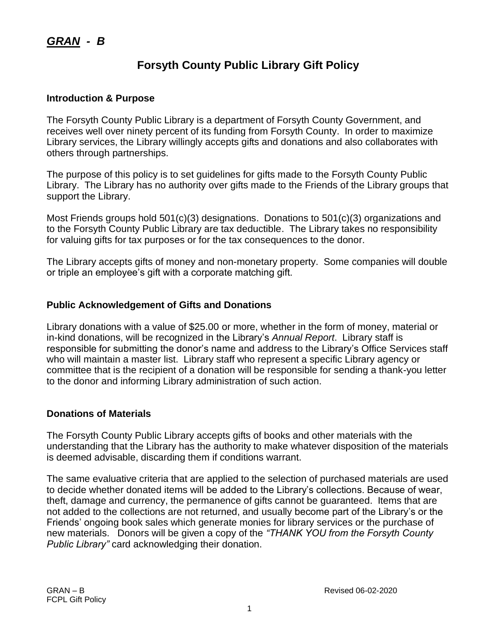# **Forsyth County Public Library Gift Policy**

#### **Introduction & Purpose**

The Forsyth County Public Library is a department of Forsyth County Government, and receives well over ninety percent of its funding from Forsyth County. In order to maximize Library services, the Library willingly accepts gifts and donations and also collaborates with others through partnerships.

The purpose of this policy is to set guidelines for gifts made to the Forsyth County Public Library. The Library has no authority over gifts made to the Friends of the Library groups that support the Library.

Most Friends groups hold 501(c)(3) designations. Donations to 501(c)(3) organizations and to the Forsyth County Public Library are tax deductible. The Library takes no responsibility for valuing gifts for tax purposes or for the tax consequences to the donor.

The Library accepts gifts of money and non-monetary property. Some companies will double or triple an employee's gift with a corporate matching gift.

#### **Public Acknowledgement of Gifts and Donations**

Library donations with a value of \$25.00 or more, whether in the form of money, material or in-kind donations, will be recognized in the Library's *Annual Report*. Library staff is responsible for submitting the donor's name and address to the Library's Office Services staff who will maintain a master list. Library staff who represent a specific Library agency or committee that is the recipient of a donation will be responsible for sending a thank-you letter to the donor and informing Library administration of such action.

#### **Donations of Materials**

The Forsyth County Public Library accepts gifts of books and other materials with the understanding that the Library has the authority to make whatever disposition of the materials is deemed advisable, discarding them if conditions warrant.

The same evaluative criteria that are applied to the selection of purchased materials are used to decide whether donated items will be added to the Library's collections. Because of wear, theft, damage and currency, the permanence of gifts cannot be guaranteed. Items that are not added to the collections are not returned, and usually become part of the Library's or the Friends' ongoing book sales which generate monies for library services or the purchase of new materials. Donors will be given a copy of the *"THANK YOU from the Forsyth County Public Library"* card acknowledging their donation.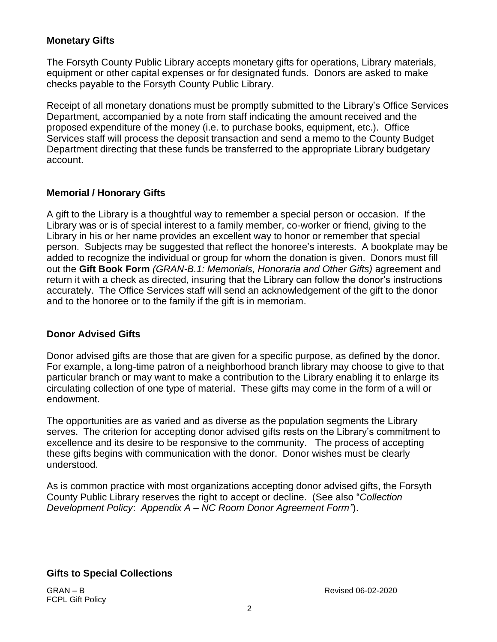### **Monetary Gifts**

The Forsyth County Public Library accepts monetary gifts for operations, Library materials, equipment or other capital expenses or for designated funds. Donors are asked to make checks payable to the Forsyth County Public Library.

Receipt of all monetary donations must be promptly submitted to the Library's Office Services Department, accompanied by a note from staff indicating the amount received and the proposed expenditure of the money (i.e. to purchase books, equipment, etc.). Office Services staff will process the deposit transaction and send a memo to the County Budget Department directing that these funds be transferred to the appropriate Library budgetary account.

#### **Memorial / Honorary Gifts**

A gift to the Library is a thoughtful way to remember a special person or occasion. If the Library was or is of special interest to a family member, co-worker or friend, giving to the Library in his or her name provides an excellent way to honor or remember that special person. Subjects may be suggested that reflect the honoree's interests. A bookplate may be added to recognize the individual or group for whom the donation is given. Donors must fill out the **Gift Book Form** *(GRAN-B.1: Memorials, Honoraria and Other Gifts)* agreement and return it with a check as directed, insuring that the Library can follow the donor's instructions accurately. The Office Services staff will send an acknowledgement of the gift to the donor and to the honoree or to the family if the gift is in memoriam.

#### **Donor Advised Gifts**

Donor advised gifts are those that are given for a specific purpose, as defined by the donor. For example, a long-time patron of a neighborhood branch library may choose to give to that particular branch or may want to make a contribution to the Library enabling it to enlarge its circulating collection of one type of material. These gifts may come in the form of a will or endowment.

The opportunities are as varied and as diverse as the population segments the Library serves. The criterion for accepting donor advised gifts rests on the Library's commitment to excellence and its desire to be responsive to the community. The process of accepting these gifts begins with communication with the donor. Donor wishes must be clearly understood.

As is common practice with most organizations accepting donor advised gifts, the Forsyth County Public Library reserves the right to accept or decline. (See also "*Collection Development Policy*: *Appendix A – NC Room Donor Agreement Form"*).

#### **Gifts to Special Collections**

FCPL Gift Policy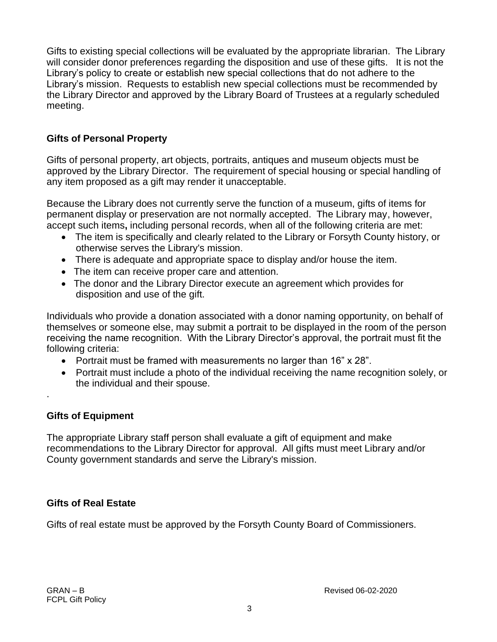Gifts to existing special collections will be evaluated by the appropriate librarian. The Library will consider donor preferences regarding the disposition and use of these gifts. It is not the Library's policy to create or establish new special collections that do not adhere to the Library's mission. Requests to establish new special collections must be recommended by the Library Director and approved by the Library Board of Trustees at a regularly scheduled meeting.

## **Gifts of Personal Property**

Gifts of personal property, art objects, portraits, antiques and museum objects must be approved by the Library Director. The requirement of special housing or special handling of any item proposed as a gift may render it unacceptable.

Because the Library does not currently serve the function of a museum, gifts of items for permanent display or preservation are not normally accepted. The Library may, however, accept such items**,** including personal records, when all of the following criteria are met:

- The item is specifically and clearly related to the Library or Forsyth County history, or otherwise serves the Library's mission.
- There is adequate and appropriate space to display and/or house the item.
- The item can receive proper care and attention.
- The donor and the Library Director execute an agreement which provides for disposition and use of the gift.

Individuals who provide a donation associated with a donor naming opportunity, on behalf of themselves or someone else, may submit a portrait to be displayed in the room of the person receiving the name recognition. With the Library Director's approval, the portrait must fit the following criteria:

- Portrait must be framed with measurements no larger than 16" x 28".
- Portrait must include a photo of the individual receiving the name recognition solely, or the individual and their spouse.

## **Gifts of Equipment**

.

The appropriate Library staff person shall evaluate a gift of equipment and make recommendations to the Library Director for approval. All gifts must meet Library and/or County government standards and serve the Library's mission.

## **Gifts of Real Estate**

Gifts of real estate must be approved by the Forsyth County Board of Commissioners.